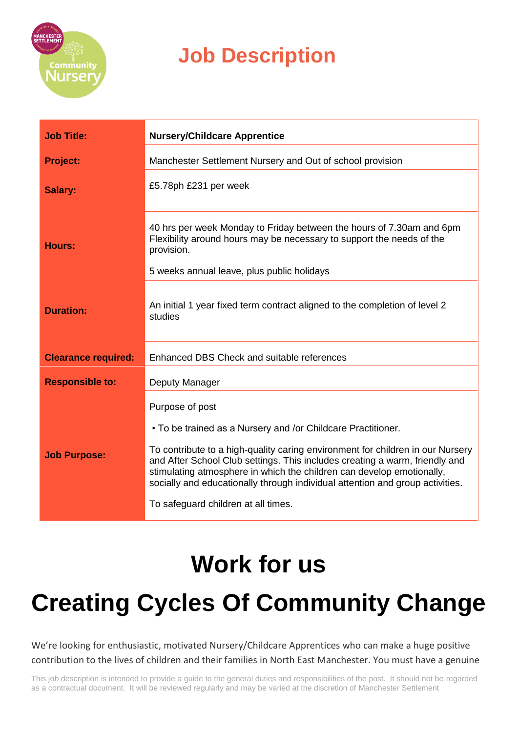

| <b>Job Title:</b>          | <b>Nursery/Childcare Apprentice</b>                                                                                                                                                                                                                                                                                                                                                                                                               |
|----------------------------|---------------------------------------------------------------------------------------------------------------------------------------------------------------------------------------------------------------------------------------------------------------------------------------------------------------------------------------------------------------------------------------------------------------------------------------------------|
| <b>Project:</b>            | Manchester Settlement Nursery and Out of school provision                                                                                                                                                                                                                                                                                                                                                                                         |
| Salary:                    | £5.78ph £231 per week                                                                                                                                                                                                                                                                                                                                                                                                                             |
| <b>Hours:</b>              | 40 hrs per week Monday to Friday between the hours of 7.30am and 6pm<br>Flexibility around hours may be necessary to support the needs of the<br>provision.<br>5 weeks annual leave, plus public holidays                                                                                                                                                                                                                                         |
| <b>Duration:</b>           | An initial 1 year fixed term contract aligned to the completion of level 2<br>studies                                                                                                                                                                                                                                                                                                                                                             |
| <b>Clearance required:</b> | Enhanced DBS Check and suitable references                                                                                                                                                                                                                                                                                                                                                                                                        |
| <b>Responsible to:</b>     | Deputy Manager                                                                                                                                                                                                                                                                                                                                                                                                                                    |
| <b>Job Purpose:</b>        | Purpose of post<br>• To be trained as a Nursery and /or Childcare Practitioner.<br>To contribute to a high-quality caring environment for children in our Nursery<br>and After School Club settings. This includes creating a warm, friendly and<br>stimulating atmosphere in which the children can develop emotionally,<br>socially and educationally through individual attention and group activities.<br>To safeguard children at all times. |

# **Work for us**

# **Creating Cycles Of Community Change**

We're looking for enthusiastic, motivated Nursery/Childcare Apprentices who can make a huge positive contribution to the lives of children and their families in North East Manchester. You must have a genuine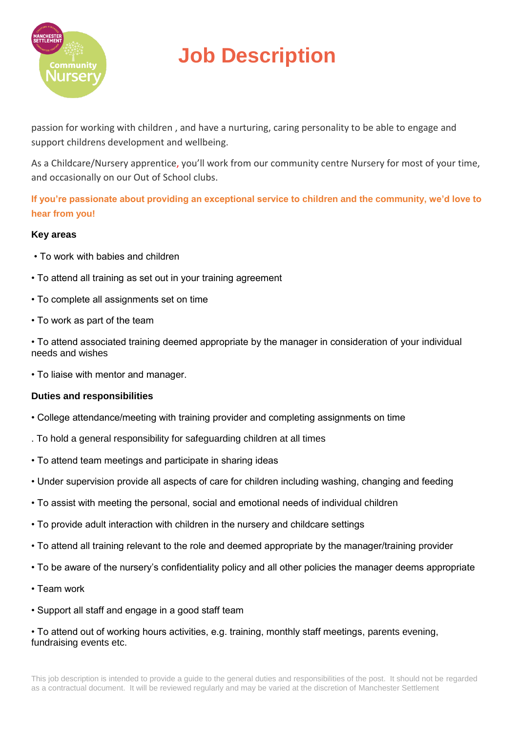

passion for working with children , and have a nurturing, caring personality to be able to engage and support childrens development and wellbeing.

As a Childcare/Nursery apprentice, you'll work from our community centre Nursery for most of your time, and occasionally on our Out of School clubs.

**If you're passionate about providing an exceptional service to children and the community, we'd love to hear from you!**

#### **Key areas**

- To work with babies and children
- To attend all training as set out in your training agreement
- To complete all assignments set on time
- To work as part of the team
- To attend associated training deemed appropriate by the manager in consideration of your individual needs and wishes
- To liaise with mentor and manager.

#### **Duties and responsibilities**

- College attendance/meeting with training provider and completing assignments on time
- . To hold a general responsibility for safeguarding children at all times
- To attend team meetings and participate in sharing ideas
- Under supervision provide all aspects of care for children including washing, changing and feeding
- To assist with meeting the personal, social and emotional needs of individual children
- To provide adult interaction with children in the nursery and childcare settings
- To attend all training relevant to the role and deemed appropriate by the manager/training provider
- To be aware of the nursery's confidentiality policy and all other policies the manager deems appropriate
- Team work
- Support all staff and engage in a good staff team
- To attend out of working hours activities, e.g. training, monthly staff meetings, parents evening, fundraising events etc.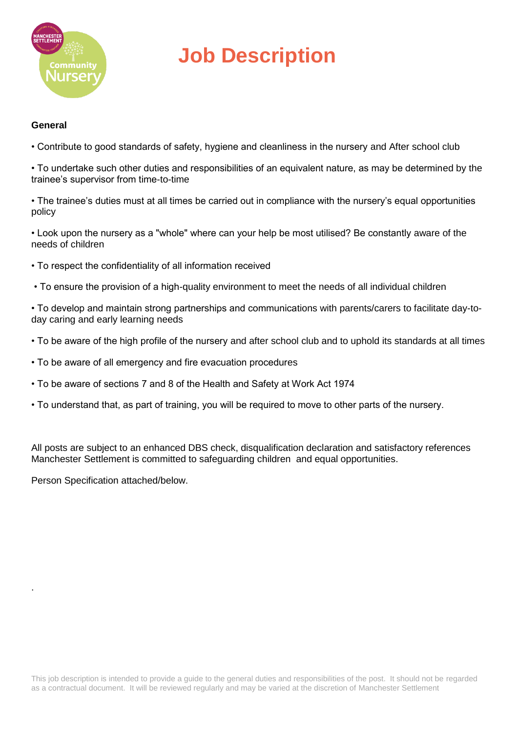

#### **General**

• Contribute to good standards of safety, hygiene and cleanliness in the nursery and After school club

• To undertake such other duties and responsibilities of an equivalent nature, as may be determined by the trainee's supervisor from time-to-time

• The trainee's duties must at all times be carried out in compliance with the nursery's equal opportunities policy

• Look upon the nursery as a "whole" where can your help be most utilised? Be constantly aware of the needs of children

- To respect the confidentiality of all information received
- To ensure the provision of a high-quality environment to meet the needs of all individual children

• To develop and maintain strong partnerships and communications with parents/carers to facilitate day-today caring and early learning needs

- To be aware of the high profile of the nursery and after school club and to uphold its standards at all times
- To be aware of all emergency and fire evacuation procedures
- To be aware of sections 7 and 8 of the Health and Safety at Work Act 1974
- To understand that, as part of training, you will be required to move to other parts of the nursery.

All posts are subject to an enhanced DBS check, disqualification declaration and satisfactory references Manchester Settlement is committed to safeguarding children and equal opportunities.

Person Specification attached/below.

.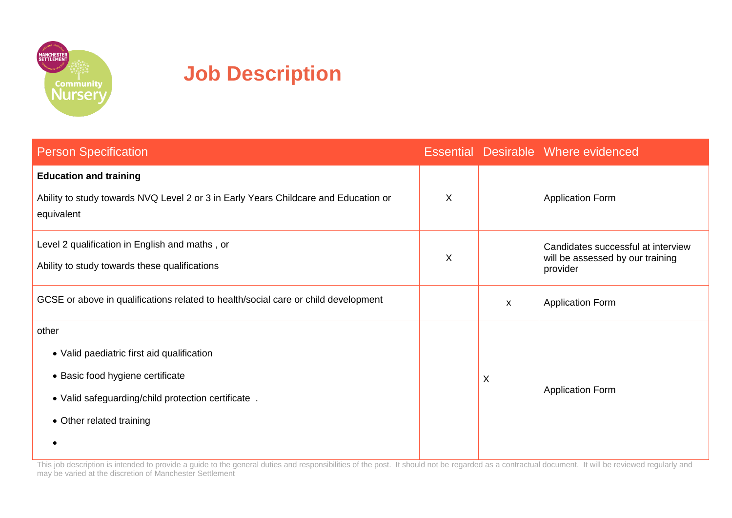

| <b>Person Specification</b>                                                                       |   |   | Essential Desirable Where evidenced          |
|---------------------------------------------------------------------------------------------------|---|---|----------------------------------------------|
| <b>Education and training</b>                                                                     |   |   |                                              |
| Ability to study towards NVQ Level 2 or 3 in Early Years Childcare and Education or<br>equivalent |   |   | <b>Application Form</b>                      |
| Level 2 qualification in English and maths, or                                                    |   |   | Candidates successful at interview           |
| Ability to study towards these qualifications                                                     | X |   | will be assessed by our training<br>provider |
| GCSE or above in qualifications related to health/social care or child development                |   | X | <b>Application Form</b>                      |
| other                                                                                             |   |   |                                              |
| • Valid paediatric first aid qualification                                                        |   | X | <b>Application Form</b>                      |
| • Basic food hygiene certificate                                                                  |   |   |                                              |
| . Valid safeguarding/child protection certificate.                                                |   |   |                                              |
| • Other related training                                                                          |   |   |                                              |
|                                                                                                   |   |   |                                              |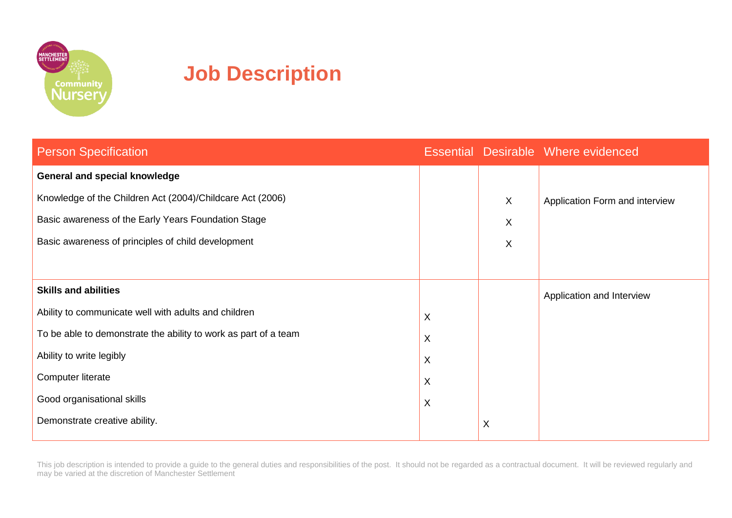

| <b>Person Specification</b>                                     |   |             | Essential Desirable Where evidenced |
|-----------------------------------------------------------------|---|-------------|-------------------------------------|
| General and special knowledge                                   |   |             |                                     |
| Knowledge of the Children Act (2004)/Childcare Act (2006)       |   | X           | Application Form and interview      |
| Basic awareness of the Early Years Foundation Stage             |   | X           |                                     |
| Basic awareness of principles of child development              |   | X           |                                     |
|                                                                 |   |             |                                     |
| <b>Skills and abilities</b>                                     |   |             | Application and Interview           |
| Ability to communicate well with adults and children            |   |             |                                     |
| To be able to demonstrate the ability to work as part of a team |   |             |                                     |
| Ability to write legibly                                        |   |             |                                     |
| Computer literate                                               | X |             |                                     |
| Good organisational skills                                      | X |             |                                     |
| Demonstrate creative ability.                                   |   | $\mathsf X$ |                                     |
|                                                                 |   |             |                                     |